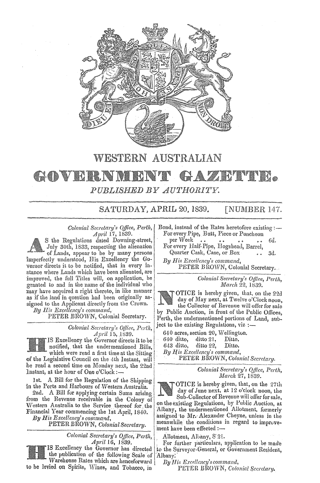

WESTERN AUSTRALIAN

# GOVERNWR **HAZIBIWITE**. PUBLISHED BY AUTHORITY.

SATURDAY, APRIL 20, 1839. **[NUMBER 147.** 

*Colonial Secretary's Office,*   $April 17, 1839.$ 

S the Regulations dated Downing-street, July 30th, 1833, respecting the alienation of Lands, appear to be by many persons imperfectly understood, His Excellency the Governor directs it to be notified, that in every instance where Lands which have been alienated, are improved, the full Titles will, on application, be *granted* to and in the name of the individual who improved, the full Titles will, on application, be<br>granted to and in the name of the individual who<br>may have acquired a right thereto, in like manner<br> $\begin{array}{c|c}\n\hline\n\text{Corr}(\text{F}_i) & \text{for } i \geq 2, 1839. \\
\hline\n\text{C}_i & \text{for } i \geq 2,$ 



which were read a first time at the Sitting  $By$  *His Excellency's command*, *senatory p , personal Secretary , <i>personal Secretary , <i>a ne newsiang <i>ne newsiang in PETER BROWN, Colonial Secretary* of the Legislative Council on the 4th Instant, will

be read a second time on Monday next, the 22nd Colonial Secretary's Office, Perth, at the hour of One o'Clock:- I *Colonial Secretary's Office March 27, 1839.* 

1st. A Bill for the Regulation of the Shipping  $\vert$   $\vert$   $\vert$  OTICE is hereby given, that, on the 27th

2nd. A Blif of applying certain Sums arising Sub-Collector of Revenue will offer for sale, from the Revenue receivable in the Colony of From the Revenue receivable. In the Colony of on the existing Regulations, by Public Auction, at Western Australia to the Service thereof for the liam is a contemplational. Allotment forms by

*Colonial Secretary's OJlice, Perth,\* Allotment, Albimy, S'2L

the publication of the following Scale of Albany. Warehouse Rates which are henceforward | By His Excellency's command, to be levied on Spirits, Wines, and Tobacco, in PETER BROWN, Colonial Secretary.

Bond, instead of the Rates heretofore existing :-For every Pipe, Butt, Piece or Puncheon

per Week 6d. For every Half-Pipe, Hogshead, Barrel,

Quarter Cask, Case, or Box 3d. By His Excellency's command,

PETER BHOWN, Colonial Secretary.

OTICE is hereby given, that, on the 22d as if the land in question had been originally as- day of May next, at Twelve o'Clock noon, signed to the Applicant directly from the Crown.  $\begin{array}{c|c|c|c|c|c|c|c} \hline \text{L} & \text{L} & \text{L} & \text{L} & \text{L} & \text{L} & \text{L} & \text{R} \end{array}$  (by Public Anction, in front of the Public Offices By His Excellency's command,<br>
PETER BROWN, Colonial Secretary.<br>
Colonial Secretary's Office, Perth, the undermentioned portions of Land, sub-<br>
Colonial Secretary's Office, Perth, the undermentioned portions of Land, sub-<br> PETER BROWN, Colonial Secretary. Perth, the undermentioned portions of Land, sub-

*April* 15, 1839. 640 acres, section 20, Wellington.<br>
IS Excellency the Governor directs it to be  $\begin{bmatrix} 640 & \text{ditto} & \text{ditto} & \text{ditto} & \text{ditto} \\ 643 & \text{ditto} & \text{ditto} & \text{disto} & \text{ditto} \\ 643 & \text{ditto} & \text{ditto} & \text{disto} &$ 

in the Ports and Harbours of Western Australia.<br>2nd A Bill for applying certain Sums arising  $\sum_{\text{dust of June next, at 12} \text{ of Open work}}$ Financial Year commencing the 1st April, 1840. Albany, the undermentioned Allotment, formerly<br>By His Excellency's command, meanwhile the conditions in regard to improve-PETER BROWN, *Colonial Secretary*. **Figure 2** meanwhile the conditions in the secretary.

*April* 16, 1839. For further particulars, application to be made<br>IS Excellency the Governor has directed to the Surveyor-General, or Government Resident, to the Surveyor-General, or Government Resident,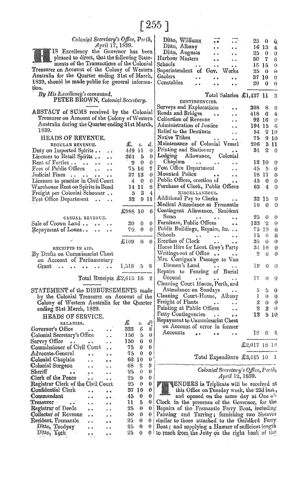Colonial Secretary's Office, Perth,

n

IS Excellency the Governor has been pleased to direct, that the following Statements of the Transactions of the Colonial Treasurer on Account of the Colony of Western Australia for the Quarter ending 31st of March, 1839, should be made public for general information.

By His Excellency's command, PETER BROWN, Colonial Secretary.

ABSTACT of SUMS received by the Colonial Treasurer on Account of the Colony of Western Australia during the Quarter ending 31st March, 1839.

## HEADS OF REVENUE.

| REGULAR REVENUE.                                                                   | æ.           | s.           | а.       |
|------------------------------------------------------------------------------------|--------------|--------------|----------|
| Duty on Imported Spirits<br>$\ddot{\phantom{a}}$                                   | 449 11       |              | 0        |
| Licenses to Retail Spirits<br>$\ddot{\bullet}$                                     | 361 5        |              | 0        |
| Rent of Ferries<br>$\sim$ $\sim$                                                   | ÷).          | 0.           | $\bf{0}$ |
| Fees of Public Offices<br>$\ddot{\phantom{a}}$<br>$\overline{a}$                   | $75-16$      |              | 7        |
| Judicial Fines                                                                     | 37           | 13           | $\bf{0}$ |
| Licenses to practise in Civil Court                                                | 4            | $\mathbf{0}$ | $\bf{0}$ |
| Warehouse Rent on Spirits in Bond                                                  |              | 14 11        | 8        |
| Freight per Colonial Schooner                                                      |              | -3-3         | 4        |
| Post Office Department                                                             | 33 -         | 9            | 11       |
|                                                                                    | £988 10      |              | 6        |
| CASUAL REVENUE.                                                                    |              |              |          |
| Sale of Crown Land<br>.<br>.                                                       | 30           | 0            | 0        |
| Repayment of Loans                                                                 | 79.          | 0            | 0        |
|                                                                                    | $\pounds109$ | 0            | $\bf{0}$ |
| RECEIPTS IN AID.<br>By Drafts on Commissariat Chest<br>on Account of Parliamentary |              |              |          |
| Grant                                                                              | $1,518$ 5    |              | S        |
| Total Receints £2.615 16                                                           |              |              | 9        |

Total Receipts £2,615

STATEMENT of the DISBURSEMENTS made by the Colonial Treasurer on Account of the Colony of Western Australia for the Quarter ending 31st March, 1839.

# HEADS OF SERVICE.

|                | £                                  | s.         | $d_1^3$             |
|----------------|------------------------------------|------------|---------------------|
| o o            |                                    |            | 8                   |
|                | 156                                | 5          | 0                   |
|                |                                    | 0          | 0                   |
|                | 75                                 | 0          | 0                   |
| $^{\circ}$     | 75                                 | 0          | 0                   |
|                | 62                                 |            | $\mathbf{O}^\prime$ |
|                | 68                                 | 8          | Ő                   |
|                | 25                                 | 0          | 0                   |
|                | 25                                 | 0          | 0                   |
|                | 25                                 | 0          | 0                   |
|                | 37                                 |            | 0                   |
| $\ddot{\circ}$ | 45                                 | 0          | 0                   |
|                | u                                  | 5          | 0                   |
|                | 25.                                | 0          | 0                   |
|                | 50                                 | 0          | 0                   |
|                | 25.                                | 0          | 0                   |
|                | 25                                 | 0          | 0                   |
| o ÷            | 25                                 | Ô          | Ô                   |
|                | Registrar Clerk of the Civil Court | 333<br>150 | 6<br>10<br>$10-$    |

| Ditto, Williams                                                   | 25.          | -0           | û.              |
|-------------------------------------------------------------------|--------------|--------------|-----------------|
| Ditto, Albany                                                     | 16           | -13          | 4               |
| Ditto, Augusta                                                    | 25           | 0            | 0               |
| Harbour Masters                                                   | 30           | 7            | 6               |
| Schools<br>$\bullet\hspace{0.4mm}$ .                              | 18 15        |              | 0               |
| Superintendent of Gov. Works                                      | 25           | 0            | Θ               |
| Gaolers<br>$\bullet$                                              | 37 10        |              | 0               |
| Constables                                                        | 20 -         | 0            | 0               |
|                                                                   |              |              |                 |
| Total Salaries £1,437 11                                          |              |              | S.              |
| CONTINGENCIES.                                                    |              |              |                 |
| Surveys and Explorations<br>$\gamma_{\rm h}$                      | $308-$       | 8            | 9.              |
| Roads and Bridges                                                 | 418          | 6.           | $-4$            |
| Collection of Revenue<br>$\ddot{\phantom{0}}$                     |              | 92 16        | $\mathbf{0}$    |
| Administration of Justice                                         | 194 15       |              | $\overline{6}$  |
| Relief to the Destitute<br>. .                                    | 54           | 2            | 10 <sup>°</sup> |
| Native Tribes                                                     | 75.          | 9            | 10 <sub>1</sub> |
| Maintenance of Colonial Vessel                                    | $206-5$      |              | Ħ.              |
| Printing and Stationery                                           | 34           | 2.           | $\mathbf{0}$    |
| Lodging Allowance, Colonial                                       |              |              |                 |
| $Chaplan \t\t\t$<br>$\mathcal{O}(\mathcal{A}^{\mathcal{A}})$      |              | 12 10        | 0               |
| Post Office Department                                            | 45           | - 5          | 0               |
| Mounted Police<br>$\bullet$ $\bullet$                             |              | 18 I7        | 6               |
| Public Offices, erection of                                       |              | $45\quad0$   | 0               |
| Purchase of Clock, Public Offices                                 | 63           | 4            | 0               |
| MISCELLANEOUS.                                                    |              |              |                 |
| Additional Pay to Clerks                                          |              | 33 15        | 0.              |
|                                                                   | 10           | 0            | 0               |
| Medical Attendance at Fremantle<br>Contingent Allowance, Resident |              |              |                 |
| Swan<br>Swan<br>Furniture, Public Offices                         | 25           | 0            | 0               |
| 6 <sub>0</sub>                                                    | 133          | ۰2           | 0               |
| Public Buildings, Repairs, &c.                                    | 75           | 19.          | 6               |
| Schools<br>$\sim 10^{-11}$<br>$0-6$<br>$\bullet$ $\bullet$        | 15           | 0            | 6               |
| Erection of Clock<br>$\ddot{\bullet}$<br>$\bullet$ $\bullet$      | 35           | 0            | 0               |
| Horse Hire for Lieut. Grey's Party                                |              | 34 10        | 0               |
| Writings out of Office                                            | -9           | 6            | 0               |
| Mrs. Corrigan's Passage to Van.                                   |              |              |                 |
| Diemen's Land<br>Diemen's Land<br>Repairs to Fencing of Burial    | 19           | 0            | 0.              |
|                                                                   |              |              |                 |
| Ground<br>$\alpha$                                                | 17           | Ü            | Q               |
| Cleaning Court House, Perth, and                                  |              |              |                 |
| Attendance on Sundays                                             | 5            | 5            | 0               |
| Cleaning Court-House, Albany                                      | 1            | $\mathbf{0}$ | 0               |
| Exemines<br>Freight of Plants<br>Painting at Public Offices       |              | $2^+0$       | 0               |
|                                                                   | 2            | 3            | $\cdot$ O       |
|                                                                   | 12           | 5            | 10.             |
| Repayment to Commissariat Chest                                   |              |              |                 |
| on Account of error in former                                     |              |              |                 |
| Accounts<br>e e<br>$^{\circ}$                                     | 18.          | 8.           | 4.              |
|                                                                   |              |              |                 |
|                                                                   | £2,017 18 10 |              |                 |

#### Total Expenditure £3,445 10 Î.

Colonial Secretary's Office, Perth, April 12, 1839.

ENDERS in Triplicate will be received at this Office on Tuesday week, the 23d inst., and opened on the same day at One o'-Clock in the presence of the Governor, for the Repairs of the Fremantle Ferry Boat, including<br>Painting and Tarring; furnishing two Sheaves<br>similar to those attached to the Guildford Ferry Boat; and supplying a Hawser of sufficient length to reach from the Jetty on the right bank of the